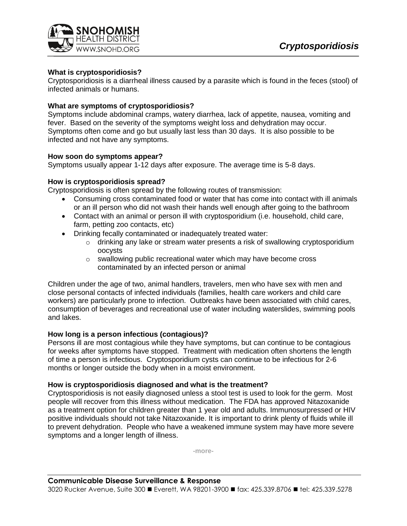

## **What is cryptosporidiosis?**

Cryptosporidiosis is a diarrheal illness caused by a parasite which is found in the feces (stool) of infected animals or humans.

### **What are symptoms of cryptosporidiosis?**

Symptoms include abdominal cramps, watery diarrhea, lack of appetite, nausea, vomiting and fever. Based on the severity of the symptoms weight loss and dehydration may occur. Symptoms often come and go but usually last less than 30 days. It is also possible to be infected and not have any symptoms.

#### **How soon do symptoms appear?**

Symptoms usually appear 1-12 days after exposure. The average time is 5-8 days.

### **How is cryptosporidiosis spread?**

Cryptosporidiosis is often spread by the following routes of transmission:

- Consuming cross contaminated food or water that has come into contact with ill animals or an ill person who did not wash their hands well enough after going to the bathroom
- Contact with an animal or person ill with cryptosporidium (i.e. household, child care, farm, petting zoo contacts, etc)
- Drinking fecally contaminated or inadequately treated water:
	- $\circ$  drinking any lake or stream water presents a risk of swallowing cryptosporidium oocysts
	- o swallowing public recreational water which may have become cross contaminated by an infected person or animal

Children under the age of two, animal handlers, travelers, men who have sex with men and close personal contacts of infected individuals (families, health care workers and child care workers) are particularly prone to infection. Outbreaks have been associated with child cares, consumption of beverages and recreational use of water including waterslides, swimming pools and lakes.

# **How long is a person infectious (contagious)?**

Persons ill are most contagious while they have symptoms, but can continue to be contagious for weeks after symptoms have stopped. Treatment with medication often shortens the length of time a person is infectious. Cryptosporidium cysts can continue to be infectious for 2-6 months or longer outside the body when in a moist environment.

#### **How is cryptosporidiosis diagnosed and what is the treatment?**

Cryptosporidiosis is not easily diagnosed unless a stool test is used to look for the germ. Most people will recover from this illness without medication. The FDA has approved Nitazoxanide as a treatment option for children greater than 1 year old and adults. Immunosurpressed or HIV positive individuals should not take Nitazoxanide. It is important to drink plenty of fluids while ill to prevent dehydration. People who have a weakened immune system may have more severe symptoms and a longer length of illness.

**-more-**